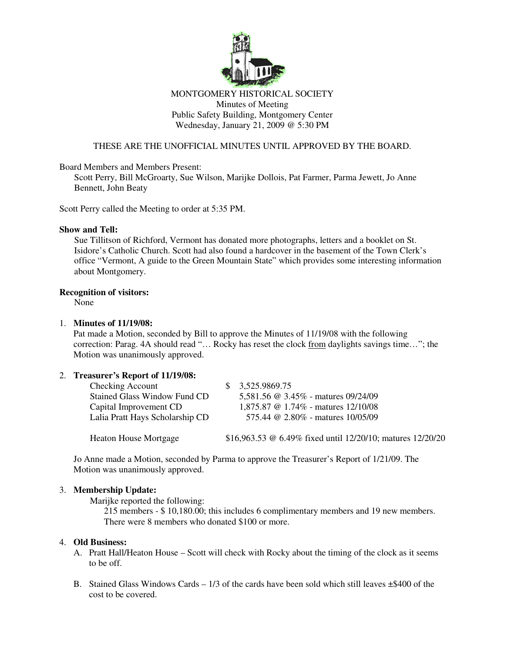

# MONTGOMERY HISTORICAL SOCIETY Minutes of Meeting Public Safety Building, Montgomery Center Wednesday, January 21, 2009 @ 5:30 PM

# THESE ARE THE UNOFFICIAL MINUTES UNTIL APPROVED BY THE BOARD.

# Board Members and Members Present:

Scott Perry, Bill McGroarty, Sue Wilson, Marijke Dollois, Pat Farmer, Parma Jewett, Jo Anne Bennett, John Beaty

Scott Perry called the Meeting to order at 5:35 PM.

### **Show and Tell:**

Sue Tillitson of Richford, Vermont has donated more photographs, letters and a booklet on St. Isidore's Catholic Church. Scott had also found a hardcover in the basement of the Town Clerk's office "Vermont, A guide to the Green Mountain State" which provides some interesting information about Montgomery.

### **Recognition of visitors:**

None

#### 1. **Minutes of 11/19/08:**

Pat made a Motion, seconded by Bill to approve the Minutes of 11/19/08 with the following correction: Parag. 4A should read "… Rocky has reset the clock from daylights savings time…"; the Motion was unanimously approved.

# 2. **Treasurer's Report of 11/19/08:**

| Checking Account<br><b>Stained Glass Window Fund CD</b><br>Capital Improvement CD<br>Lalia Pratt Hays Scholarship CD | 3,525,9869.75<br>5,581.56 @ 3.45% - matures 09/24/09<br>1,875.87 $\omega$ 1.74% - matures 12/10/08<br>575.44 @ 2.80% - matures 10/05/09 |
|----------------------------------------------------------------------------------------------------------------------|-----------------------------------------------------------------------------------------------------------------------------------------|
| <b>Heaton House Mortgage</b>                                                                                         | \$16,963.53 @ 6.49% fixed until 12/20/10; matures 12/20/20                                                                              |

Jo Anne made a Motion, seconded by Parma to approve the Treasurer's Report of 1/21/09. The Motion was unanimously approved.

# 3. **Membership Update:**

Marijke reported the following:

215 members - \$ 10,180.00; this includes 6 complimentary members and 19 new members. There were 8 members who donated \$100 or more.

#### 4. **Old Business:**

- A. Pratt Hall/Heaton House Scott will check with Rocky about the timing of the clock as it seems to be off.
- B. Stained Glass Windows Cards  $1/3$  of the cards have been sold which still leaves  $\pm$ \$400 of the cost to be covered.